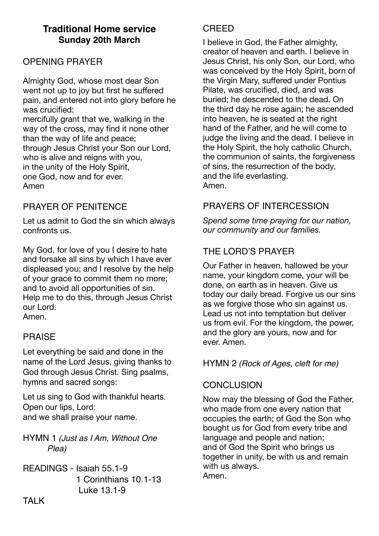# **Traditional Home service Sunday 20th March**

# OPENING PRAYER

Almighty God, whose most dear Son went not up to joy but first he suffered pain, and entered not into glory before he was crucified: mercifully grant that we, walking in the way of the cross, may find it none other than the way of life and peace; through Jesus Christ your Son our Lord, who is alive and reigns with you, in the unity of the Holy Spirit, one God, now and for ever. Amen

# PRAYER OF PENITENCE

Let us admit to God the sin which always confronts us.

My God, for love of you I desire to hate and forsake all sins by which I have ever displeased you; and I resolve by the help of your grace to commit them no more; and to avoid all opportunities of sin. Help me to do this, through Jesus Christ our Lord.

Amen.

### PRAISE

Let everything be said and done in the name of the Lord Jesus, giving thanks to God through Jesus Christ. Sing psalms, hymns and sacred songs:

Let us sing to God with thankful hearts. Open our lips, Lord: and we shall praise your name.

HYMN 1 *(Just as I Am, Without One Plea)*

READINGS - Isaiah 55.1-9 1 Corinthians 10.1-13 Luke 13.1-9

### **CREED**

I believe in God, the Father almighty, creator of heaven and earth. I believe in Jesus Christ, his only Son, our Lord, who was conceived by the Holy Spirit, born of the Virgin Mary, suffered under Pontius Pilate, was crucified, died, and was buried; he descended to the dead. On the third day he rose again; he ascended into heaven, he is seated at the right hand of the Father, and he will come to judge the living and the dead. I believe in the Holy Spirit, the holy catholic Church, the communion of saints, the forgiveness of sins, the resurrection of the body, and the life everlasting. Amen.

# PRAYERS OF INTERCESSION

*Spend some time praying for our nation, our community and our families.* 

# THE LORD'S PRAYER

Our Father in heaven, hallowed be your name, your kingdom come, your will be done, on earth as in heaven. Give us today our daily bread. Forgive us our sins as we forgive those who sin against us. Lead us not into temptation but deliver us from evil. For the kingdom, the power, and the glory are yours, now and for ever. Amen.

#### HYMN 2 *(Rock of Ages, cleft for me)*

### **CONCLUSION**

Now may the blessing of God the Father, who made from one every nation that occupies the earth; of God the Son who bought us for God from every tribe and language and people and nation; and of God the Spirit who brings us together in unity, be with us and remain with us always. Amen.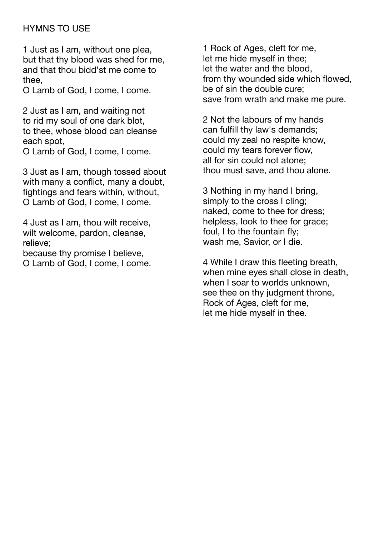# HYMNS TO USE

1 Just as I am, without one plea, but that thy blood was shed for me, and that thou bidd'st me come to thee,

O Lamb of God, I come, I come.

2 Just as I am, and waiting not to rid my soul of one dark blot, to thee, whose blood can cleanse each spot, O Lamb of God, I come, I come.

3 Just as I am, though tossed about with many a conflict, many a doubt, fightings and fears within, without, O Lamb of God, I come, I come.

4 Just as I am, thou wilt receive, wilt welcome, pardon, cleanse, relieve;

because thy promise I believe, O Lamb of God, I come, I come.

1 Rock of Ages, cleft for me, let me hide myself in thee; let the water and the blood, from thy wounded side which flowed, be of sin the double cure; save from wrath and make me pure.

2 Not the labours of my hands can fulfill thy law's demands; could my zeal no respite know, could my tears forever flow, all for sin could not atone; thou must save, and thou alone.

3 Nothing in my hand I bring, simply to the cross I cling; naked, come to thee for dress; helpless, look to thee for grace; foul, I to the fountain fly; wash me, Savior, or I die.

4 While I draw this fleeting breath, when mine eyes shall close in death, when I soar to worlds unknown. see thee on thy judgment throne, Rock of Ages, cleft for me, let me hide myself in thee.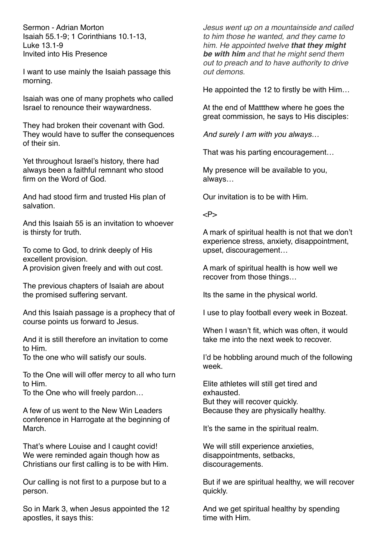Sermon - Adrian Morton Isaiah 55.1-9; 1 Corinthians 10.1-13, Luke 13.1-9 Invited into His Presence

I want to use mainly the Isaiah passage this morning.

Isaiah was one of many prophets who called Israel to renounce their waywardness.

They had broken their covenant with God. They would have to suffer the consequences of their sin.

Yet throughout Israel's history, there had always been a faithful remnant who stood firm on the Word of God.

And had stood firm and trusted His plan of salvation.

And this Isaiah 55 is an invitation to whoever is thirsty for truth.

To come to God, to drink deeply of His excellent provision. A provision given freely and with out cost.

The previous chapters of Isaiah are about the promised suffering servant.

And this Isaiah passage is a prophecy that of course points us forward to Jesus.

And it is still therefore an invitation to come to Him.

To the one who will satisfy our souls.

To the One will will offer mercy to all who turn to Him.

To the One who will freely pardon…

A few of us went to the New Win Leaders conference in Harrogate at the beginning of March.

That's where Louise and I caught covid! We were reminded again though how as Christians our first calling is to be with Him.

Our calling is not first to a purpose but to a person.

So in Mark 3, when Jesus appointed the 12 apostles, it says this:

*Jesus went up on a mountainside and called to him those he wanted, and they came to him. He appointed twelve that they might be with him and that he might send them out to preach and to have authority to drive out demons.* 

He appointed the 12 to firstly be with Him…

At the end of Mattthew where he goes the great commission, he says to His disciples:

*And surely I am with you always…*

That was his parting encouragement…

My presence will be available to you, always…

Our invitation is to be with Him.

 $P$ 

A mark of spiritual health is not that we don't experience stress, anxiety, disappointment, upset, discouragement…

A mark of spiritual health is how well we recover from those things…

Its the same in the physical world.

I use to play football every week in Bozeat.

When I wasn't fit, which was often, it would take me into the next week to recover.

I'd be hobbling around much of the following week.

Elite athletes will still get tired and exhausted. But they will recover quickly. Because they are physically healthy.

It's the same in the spiritual realm.

We will still experience anxieties, disappointments, setbacks, discouragements.

But if we are spiritual healthy, we will recover quickly.

And we get spiritual healthy by spending time with Him.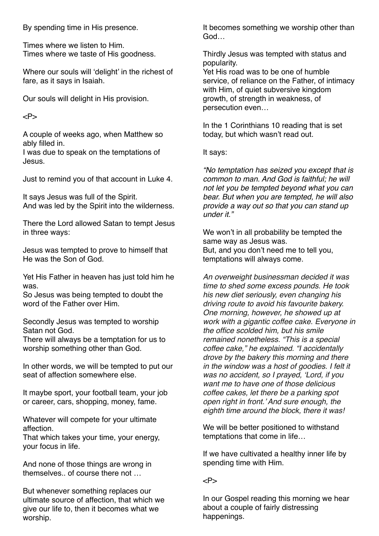By spending time in His presence.

Times where we listen to Him. Times where we taste of His goodness.

Where our souls will 'delight' in the richest of fare, as it says in Isaiah.

Our souls will delight in His provision.

 $P$ 

A couple of weeks ago, when Matthew so ably filled in.

I was due to speak on the temptations of Jesus.

Just to remind you of that account in Luke 4.

It says Jesus was full of the Spirit. And was led by the Spirit into the wilderness.

There the Lord allowed Satan to tempt Jesus in three ways:

Jesus was tempted to prove to himself that He was the Son of God.

Yet His Father in heaven has just told him he was.

So Jesus was being tempted to doubt the word of the Father over Him.

Secondly Jesus was tempted to worship Satan not God.

There will always be a temptation for us to worship something other than God.

In other words, we will be tempted to put our seat of affection somewhere else.

It maybe sport, your football team, your job or career, cars, shopping, money, fame.

Whatever will compete for your ultimate affection.

That which takes your time, your energy, your focus in life.

And none of those things are wrong in themselves.. of course there not …

But whenever something replaces our ultimate source of affection, that which we give our life to, then it becomes what we worship.

It becomes something we worship other than God…

Thirdly Jesus was tempted with status and popularity.

Yet His road was to be one of humble service, of reliance on the Father, of intimacy with Him, of quiet subversive kingdom growth, of strength in weakness, of persecution even…

In the 1 Corinthians 10 reading that is set today, but which wasn't read out.

It says:

*"No temptation has seized you except that is common to man. And God is faithful; he will not let you be tempted beyond what you can bear. But when you are tempted, he will also provide a way out so that you can stand up under it."*

We won't in all probability be tempted the same way as Jesus was. But, and you don't need me to tell you, temptations will always come.

*An overweight businessman decided it was time to shed some excess pounds. He took his new diet seriously, even changing his driving route to avoid his favourite bakery. One morning, however, he showed up at work with a gigantic coffee cake. Everyone in the office scolded him, but his smile remained nonetheless. "This is a special coffee cake," he explained. "I accidentally drove by the bakery this morning and there in the window was a host of goodies. I felt it was no accident, so I prayed, 'Lord, if you want me to have one of those delicious coffee cakes, let there be a parking spot open right in front.' And sure enough, the eighth time around the block, there it was!*

We will be better positioned to withstand temptations that come in life…

If we have cultivated a healthy inner life by spending time with Him.

#### $P$

In our Gospel reading this morning we hear about a couple of fairly distressing happenings.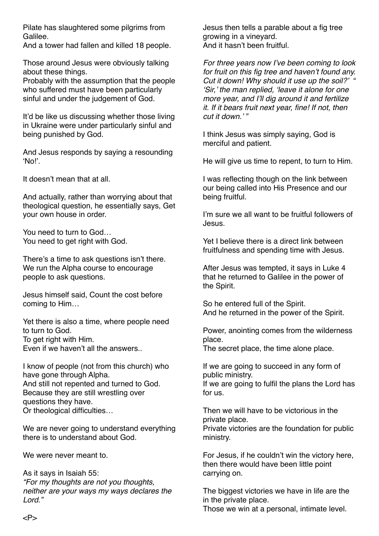Pilate has slaughtered some pilgrims from Galilee.

And a tower had fallen and killed 18 people.

Those around Jesus were obviously talking about these things.

Probably with the assumption that the people who suffered must have been particularly sinful and under the judgement of God.

It'd be like us discussing whether those living in Ukraine were under particularly sinful and being punished by God.

And Jesus responds by saying a resounding 'No!'.

It doesn't mean that at all.

And actually, rather than worrying about that theological question, he essentially says, Get your own house in order.

You need to turn to God… You need to get right with God.

There's a time to ask questions isn't there. We run the Alpha course to encourage people to ask questions.

Jesus himself said, Count the cost before coming to Him…

Yet there is also a time, where people need to turn to God. To get right with Him. Even if we haven't all the answers..

I know of people (not from this church) who have gone through Alpha. And still not repented and turned to God. Because they are still wrestling over questions they have. Or theological difficulties…

We are never going to understand everything there is to understand about God.

We were never meant to.

As it says in Isaiah 55: *"For my thoughts are not you thoughts, neither are your ways my ways declares the Lord."*

Jesus then tells a parable about a fig tree growing in a vineyard. And it hasn't been fruitful.

*For three years now I've been coming to look for fruit on this fig tree and haven't found any. Cut it down! Why should it use up the soil?' " 'Sir,' the man replied, 'leave it alone for one more year, and I'll dig around it and fertilize it. If it bears fruit next year, fine! If not, then cut it down.' "*

I think Jesus was simply saying, God is merciful and patient.

He will give us time to repent, to turn to Him.

I was reflecting though on the link between our being called into His Presence and our being fruitful.

I'm sure we all want to be fruitful followers of Jesus.

Yet I believe there is a direct link between fruitfulness and spending time with Jesus.

After Jesus was tempted, it says in Luke 4 that he returned to Galilee in the power of the Spirit.

So he entered full of the Spirit. And he returned in the power of the Spirit.

Power, anointing comes from the wilderness place. The secret place, the time alone place.

If we are going to succeed in any form of public ministry.

If we are going to fulfil the plans the Lord has for us.

Then we will have to be victorious in the private place. Private victories are the foundation for public

ministry.

For Jesus, if he couldn't win the victory here, then there would have been little point carrying on.

The biggest victories we have in life are the in the private place.

Those we win at a personal, intimate level.